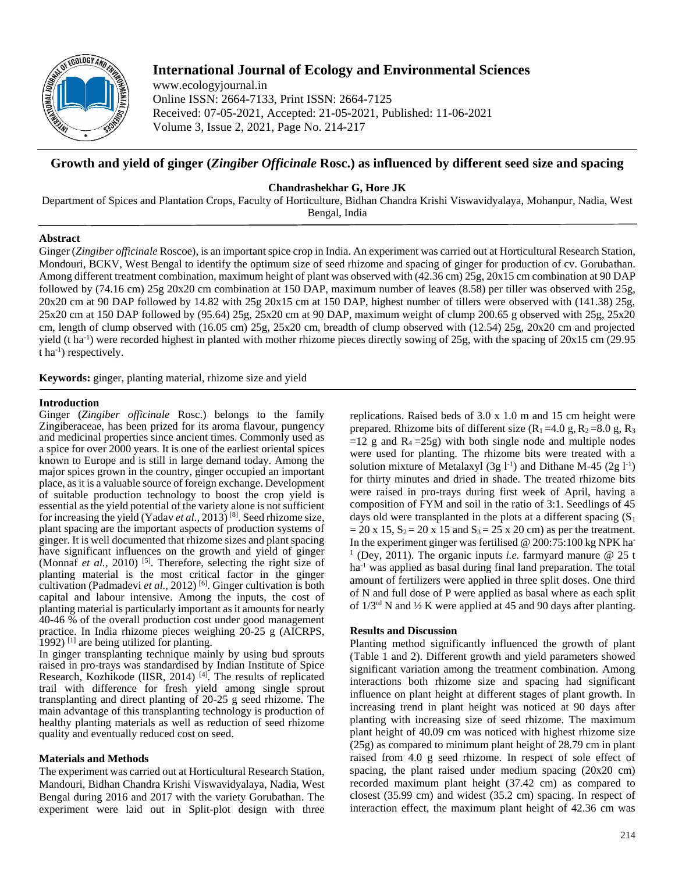

# **International Journal of Ecology and Environmental Sciences**

www.ecologyjournal.in Online ISSN: 2664-7133, Print ISSN: 2664-7125 Received: 07-05-2021, Accepted: 21-05-2021, Published: 11-06-2021 Volume 3, Issue 2, 2021, Page No. 214-217

## **Growth and yield of ginger (***Zingiber Officinale* **Rosc.) as influenced by different seed size and spacing**

**Chandrashekhar G, Hore JK**

Department of Spices and Plantation Crops, Faculty of Horticulture, Bidhan Chandra Krishi Viswavidyalaya, Mohanpur, Nadia, West Bengal, India

## **Abstract**

Ginger (*Zingiber officinale* Roscoe), is an important spice crop in India. An experiment was carried out at Horticultural Research Station, Mondouri, BCKV, West Bengal to identify the optimum size of seed rhizome and spacing of ginger for production of cv. Gorubathan. Among different treatment combination, maximum height of plant was observed with (42.36 cm) 25g, 20x15 cm combination at 90 DAP followed by (74.16 cm) 25g 20x20 cm combination at 150 DAP, maximum number of leaves (8.58) per tiller was observed with 25g, 20x20 cm at 90 DAP followed by 14.82 with 25g 20x15 cm at 150 DAP, highest number of tillers were observed with (141.38) 25g, 25x20 cm at 150 DAP followed by (95.64) 25g, 25x20 cm at 90 DAP, maximum weight of clump 200.65 g observed with 25g, 25x20 cm, length of clump observed with (16.05 cm) 25g, 25x20 cm, breadth of clump observed with (12.54) 25g, 20x20 cm and projected yield (t ha<sup>-1</sup>) were recorded highest in planted with mother rhizome pieces directly sowing of 25g, with the spacing of  $20x15$  cm (29.95)  $t$  ha<sup>-1</sup>) respectively.

**Keywords:** ginger, planting material, rhizome size and yield

#### **Introduction**

Ginger (*Zingiber officinale* Rosc.) belongs to the family Zingiberaceae, has been prized for its aroma flavour, pungency and medicinal properties since ancient times. Commonly used as a spice for over 2000 years. It is one of the earliest oriental spices known to Europe and is still in large demand today. Among the major spices grown in the country, ginger occupied an important place, as it is a valuable source of foreign exchange. Development of suitable production technology to boost the crop yield is essential as the yield potential of the variety alone is not sufficient for increasing the yield (Yadav *et al.,* 2013) [8] . Seed rhizome size, plant spacing are the important aspects of production systems of ginger. It is well documented that rhizome sizes and plant spacing have significant influences on the growth and yield of ginger (Monnaf *et al.*, 2010)<sup>[5]</sup>. Therefore, selecting the right size of planting material is the most critical factor in the ginger cultivation (Padmadevi et al., 2012)<sup>[6]</sup>. Ginger cultivation is both capital and labour intensive. Among the inputs, the cost of planting material is particularly important as it amounts for nearly 40-46 % of the overall production cost under good management practice. In India rhizome pieces weighing 20-25 g (AICRPS, 1992)<sup>[1]</sup> are being utilized for planting.

In ginger transplanting technique mainly by using bud sprouts raised in pro-trays was standardised by Indian Institute of Spice Research, Kozhikode (IISR, 2014)<sup>[4]</sup>. The results of replicated trail with difference for fresh yield among single sprout transplanting and direct planting of 20-25 g seed rhizome. The main advantage of this transplanting technology is production of healthy planting materials as well as reduction of seed rhizome quality and eventually reduced cost on seed.

## **Materials and Methods**

The experiment was carried out at Horticultural Research Station, Mandouri, Bidhan Chandra Krishi Viswavidyalaya, Nadia, West Bengal during 2016 and 2017 with the variety Gorubathan. The experiment were laid out in Split-plot design with three

replications. Raised beds of 3.0 x 1.0 m and 15 cm height were prepared. Rhizome bits of different size  $(R_1 = 4.0 \text{ g}, R_2 = 8.0 \text{ g}, R_3$  $=12$  g and  $R_4 = 25g$ ) with both single node and multiple nodes were used for planting. The rhizome bits were treated with a solution mixture of Metalaxyl  $(3g 1<sup>-1</sup>)$  and Dithane M-45  $(2g 1<sup>-1</sup>)$ for thirty minutes and dried in shade. The treated rhizome bits were raised in pro-trays during first week of April, having a composition of FYM and soil in the ratio of 3:1. Seedlings of 45 days old were transplanted in the plots at a different spacing  $(S_1)$  $= 20$  x 15,  $S_2 = 20$  x 15 and  $S_3 = 25$  x 20 cm) as per the treatment. In the experiment ginger was fertilised @ 200:75:100 kg NPK ha-1 (Dey, 2011). The organic inputs *i.e.* farmyard manure @ 25 t ha<sup>-1</sup> was applied as basal during final land preparation. The total amount of fertilizers were applied in three split doses. One third of N and full dose of P were applied as basal where as each split of  $1/3^{rd}$  N and  $\frac{1}{2}$  K were applied at 45 and 90 days after planting.

## **Results and Discussion**

Planting method significantly influenced the growth of plant (Table 1 and 2). Different growth and yield parameters showed significant variation among the treatment combination. Among interactions both rhizome size and spacing had significant influence on plant height at different stages of plant growth. In increasing trend in plant height was noticed at 90 days after planting with increasing size of seed rhizome. The maximum plant height of 40.09 cm was noticed with highest rhizome size (25g) as compared to minimum plant height of 28.79 cm in plant raised from 4.0 g seed rhizome. In respect of sole effect of spacing, the plant raised under medium spacing (20x20 cm) recorded maximum plant height (37.42 cm) as compared to closest (35.99 cm) and widest (35.2 cm) spacing. In respect of interaction effect, the maximum plant height of 42.36 cm was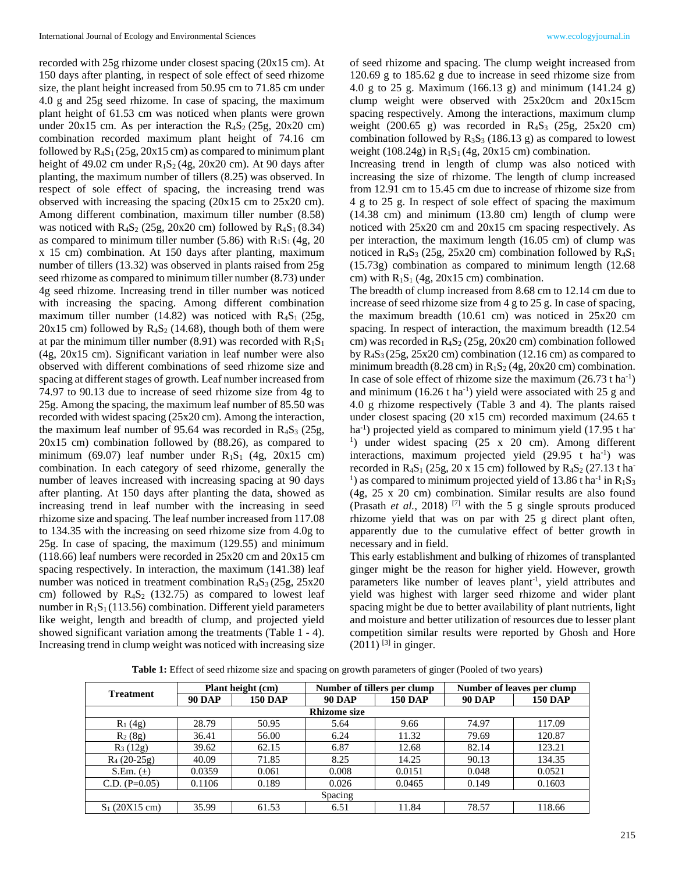recorded with 25g rhizome under closest spacing (20x15 cm). At 150 days after planting, in respect of sole effect of seed rhizome size, the plant height increased from 50.95 cm to 71.85 cm under 4.0 g and 25g seed rhizome. In case of spacing, the maximum plant height of 61.53 cm was noticed when plants were grown under 20x15 cm. As per interaction the  $R<sub>4</sub>S<sub>2</sub>$  (25g, 20x20 cm) combination recorded maximum plant height of 74.16 cm followed by  $R_4S_1(25g, 20x15 \text{ cm})$  as compared to minimum plant height of 49.02 cm under  $R_1S_2$  (4g, 20x20 cm). At 90 days after planting, the maximum number of tillers (8.25) was observed. In respect of sole effect of spacing, the increasing trend was observed with increasing the spacing (20x15 cm to 25x20 cm). Among different combination, maximum tiller number (8.58) was noticed with  $R_4S_2$  (25g, 20x20 cm) followed by  $R_4S_1$  (8.34) as compared to minimum tiller number (5.86) with  $R_1S_1$  (4g, 20) x 15 cm) combination. At 150 days after planting, maximum number of tillers (13.32) was observed in plants raised from 25g seed rhizome as compared to minimum tiller number (8.73) under 4g seed rhizome. Increasing trend in tiller number was noticed with increasing the spacing. Among different combination maximum tiller number (14.82) was noticed with  $R_4S_1$  (25g,  $20x15$  cm) followed by  $R_4S_2$  (14.68), though both of them were at par the minimum tiller number (8.91) was recorded with  $R_1S_1$ (4g, 20x15 cm). Significant variation in leaf number were also observed with different combinations of seed rhizome size and spacing at different stages of growth. Leaf number increased from 74.97 to 90.13 due to increase of seed rhizome size from 4g to 25g. Among the spacing, the maximum leaf number of 85.50 was recorded with widest spacing (25x20 cm). Among the interaction, the maximum leaf number of 95.64 was recorded in  $R_4S_3$  (25g, 20x15 cm) combination followed by (88.26), as compared to minimum (69.07) leaf number under  $R_1S_1$  (4g, 20x15 cm) combination. In each category of seed rhizome, generally the number of leaves increased with increasing spacing at 90 days after planting. At 150 days after planting the data, showed as increasing trend in leaf number with the increasing in seed rhizome size and spacing. The leaf number increased from 117.08 to 134.35 with the increasing on seed rhizome size from 4.0g to 25g. In case of spacing, the maximum (129.55) and minimum (118.66) leaf numbers were recorded in 25x20 cm and 20x15 cm spacing respectively. In interaction, the maximum (141.38) leaf number was noticed in treatment combination  $R_4S_3$  (25g, 25x20) cm) followed by  $R_4S_2$  (132.75) as compared to lowest leaf number in  $R_1S_1$  (113.56) combination. Different yield parameters like weight, length and breadth of clump, and projected yield showed significant variation among the treatments (Table 1 - 4). Increasing trend in clump weight was noticed with increasing size

of seed rhizome and spacing. The clump weight increased from 120.69 g to 185.62 g due to increase in seed rhizome size from 4.0 g to 25 g. Maximum (166.13 g) and minimum (141.24 g) clump weight were observed with 25x20cm and 20x15cm spacing respectively. Among the interactions, maximum clump weight  $(200.65 \text{ g})$  was recorded in  $R_4S_3$   $(25g, 25x20 \text{ cm})$ combination followed by  $R_3S_3$  (186.13 g) as compared to lowest weight (108.24g) in  $R_1S_1(4g, 20x15$  cm) combination.

Increasing trend in length of clump was also noticed with increasing the size of rhizome. The length of clump increased from 12.91 cm to 15.45 cm due to increase of rhizome size from 4 g to 25 g. In respect of sole effect of spacing the maximum (14.38 cm) and minimum (13.80 cm) length of clump were noticed with 25x20 cm and 20x15 cm spacing respectively. As per interaction, the maximum length (16.05 cm) of clump was noticed in  $R_4S_3$  (25g, 25x20 cm) combination followed by  $R_4S_1$ (15.73g) combination as compared to minimum length (12.68 cm) with  $R_1S_1$  (4g, 20x15 cm) combination.

The breadth of clump increased from 8.68 cm to 12.14 cm due to increase of seed rhizome size from 4 g to 25 g. In case of spacing, the maximum breadth (10.61 cm) was noticed in 25x20 cm spacing. In respect of interaction, the maximum breadth (12.54 cm) was recorded in  $R_4S_2$  (25g, 20x20 cm) combination followed by  $R_4S_3$  (25g, 25x20 cm) combination (12.16 cm) as compared to minimum breadth (8.28 cm) in  $R_1S_2$  (4g, 20x20 cm) combination. In case of sole effect of rhizome size the maximum  $(26.73 \text{ t} \text{ ha}^{-1})$ and minimum  $(16.26 \text{ tha}^{-1})$  yield were associated with 25 g and 4.0 g rhizome respectively (Table 3 and 4). The plants raised under closest spacing (20 x15 cm) recorded maximum (24.65 t ha<sup>-1</sup>) projected yield as compared to minimum yield (17.95 t ha<sup>-1</sup>) <sup>1</sup>) under widest spacing (25 x 20 cm). Among different interactions, maximum projected yield  $(29.95 \text{ t} \text{ ha}^{-1})$  was recorded in  $R_4S_1$  (25g, 20 x 15 cm) followed by  $R_4S_2$  (27.13 t ha-<sup>1</sup>) as compared to minimum projected yield of 13.86 t ha<sup>-1</sup> in  $R_1S_3$ (4g, 25 x 20 cm) combination. Similar results are also found (Prasath *et al.,* 2018) [7] with the 5 g single sprouts produced rhizome yield that was on par with 25 g direct plant often, apparently due to the cumulative effect of better growth in necessary and in field.

This early establishment and bulking of rhizomes of transplanted ginger might be the reason for higher yield. However, growth parameters like number of leaves plant<sup>-1</sup>, yield attributes and yield was highest with larger seed rhizome and wider plant spacing might be due to better availability of plant nutrients, light and moisture and better utilization of resources due to lesser plant competition similar results were reported by Ghosh and Hore  $(2011)$ <sup>[3]</sup> in ginger.

|                     |                | Number of tillers per clump |                | Number of leaves per clump |                |  |  |
|---------------------|----------------|-----------------------------|----------------|----------------------------|----------------|--|--|
| <b>90 DAP</b>       | <b>150 DAP</b> | <b>90 DAP</b>               | <b>150 DAP</b> | <b>90 DAP</b>              | <b>150 DAP</b> |  |  |
| <b>Rhizome size</b> |                |                             |                |                            |                |  |  |
| 28.79               | 50.95          | 5.64                        | 9.66           | 74.97                      | 117.09         |  |  |
| 36.41               | 56.00          | 6.24                        | 11.32          | 79.69                      | 120.87         |  |  |
| 39.62               | 62.15          | 6.87                        | 12.68          | 82.14                      | 123.21         |  |  |
| 40.09               | 71.85          | 8.25                        | 14.25          | 90.13                      | 134.35         |  |  |
| 0.0359              | 0.061          | 0.008                       | 0.0151         | 0.048                      | 0.0521         |  |  |
| 0.1106              | 0.189          | 0.026                       | 0.0465         | 0.149                      | 0.1603         |  |  |
| Spacing             |                |                             |                |                            |                |  |  |
| 35.99               | 61.53          | 6.51                        | 11.84          | 78.57                      | 118.66         |  |  |
|                     |                | Plant height (cm)           |                |                            |                |  |  |

**Table 1:** Effect of seed rhizome size and spacing on growth parameters of ginger (Pooled of two years)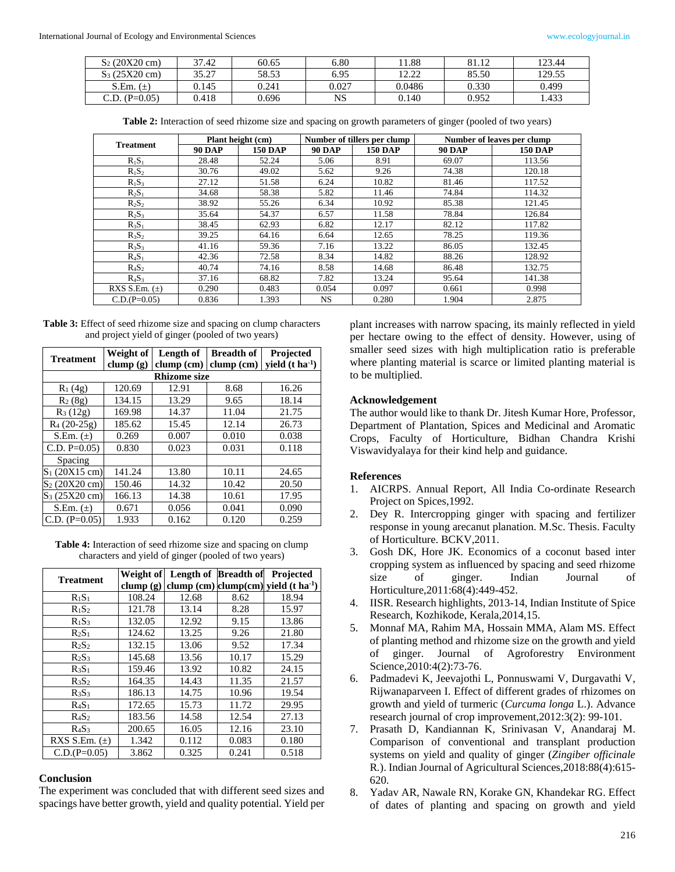| $S_2(20X20 \text{ cm})$ | 37.42 | 60.65 | 6.80  | 1.88              | 81.12 | 123.44 |
|-------------------------|-------|-------|-------|-------------------|-------|--------|
| $S_3(25X20 \text{ cm})$ | 35.27 | 58.53 | 6.95  | 12.22<br>L 4. L L | 85.50 | 129.55 |
| $S.Em. (\pm)$           | 0.145 | 0.241 | 0.027 | 0.0486            | 0.330 | 0.499  |
| $C.D. (P=0.05)$         | 0.418 | 0.696 | NS    | 0.140             | 0.952 | . 433  |

**Table 2:** Interaction of seed rhizome size and spacing on growth parameters of ginger (pooled of two years)

| <b>Treatment</b>  | Plant height (cm) |                | Number of tillers per clump |                | Number of leaves per clump |                |
|-------------------|-------------------|----------------|-----------------------------|----------------|----------------------------|----------------|
|                   | <b>90 DAP</b>     | <b>150 DAP</b> | <b>90 DAP</b>               | <b>150 DAP</b> | <b>90 DAP</b>              | <b>150 DAP</b> |
| $R_1S_1$          | 28.48             | 52.24          | 5.06                        | 8.91           | 69.07                      | 113.56         |
| $R_1S_2$          | 30.76             | 49.02          | 5.62                        | 9.26           | 74.38                      | 120.18         |
| $R_1S_3$          | 27.12             | 51.58          | 6.24                        | 10.82          | 81.46                      | 117.52         |
| $R_2S_1$          | 34.68             | 58.38          | 5.82                        | 11.46          | 74.84                      | 114.32         |
| $R_2S_2$          | 38.92             | 55.26          | 6.34                        | 10.92          | 85.38                      | 121.45         |
| $R_2S_3$          | 35.64             | 54.37          | 6.57                        | 11.58          | 78.84                      | 126.84         |
| $R_3S_1$          | 38.45             | 62.93          | 6.82                        | 12.17          | 82.12                      | 117.82         |
| $R_3S_2$          | 39.25             | 64.16          | 6.64                        | 12.65          | 78.25                      | 119.36         |
| $R_3S_3$          | 41.16             | 59.36          | 7.16                        | 13.22          | 86.05                      | 132.45         |
| $R_4S_1$          | 42.36             | 72.58          | 8.34                        | 14.82          | 88.26                      | 128.92         |
| $R_4S_2$          | 40.74             | 74.16          | 8.58                        | 14.68          | 86.48                      | 132.75         |
| $R_4S_3$          | 37.16             | 68.82          | 7.82                        | 13.24          | 95.64                      | 141.38         |
| RXS S.Em. $(\pm)$ | 0.290             | 0.483          | 0.054                       | 0.097          | 0.661                      | 0.998          |
| $C.D.(P=0.05)$    | 0.836             | 1.393          | NS.                         | 0.280          | 1.904                      | 2.875          |

| <b>Table 3:</b> Effect of seed rhizome size and spacing on clump characters |
|-----------------------------------------------------------------------------|
| and project yield of ginger (pooled of two years)                           |

| <b>Treatment</b>        | Weight of   | Length of    | <b>Breadth of</b> | Projected                              |  |  |  |
|-------------------------|-------------|--------------|-------------------|----------------------------------------|--|--|--|
|                         | clump $(g)$ | $clump$ (cm) |                   | clump (cm) yield $(t \text{ ha}^{-1})$ |  |  |  |
| <b>Rhizome size</b>     |             |              |                   |                                        |  |  |  |
| $R_1(4g)$               | 120.69      | 12.91        | 8.68              | 16.26                                  |  |  |  |
| $R_2(8g)$               | 134.15      | 13.29        | 9.65              | 18.14                                  |  |  |  |
| $R_3(12g)$              | 169.98      | 14.37        | 11.04             | 21.75                                  |  |  |  |
| $R_4(20-25g)$           | 185.62      | 15.45        | 12.14             | 26.73                                  |  |  |  |
| S.Em. $(\pm)$           | 0.269       | 0.007        | 0.010             | 0.038                                  |  |  |  |
| C.D. $P=0.05$           | 0.830       | 0.023        | 0.031             | 0.118                                  |  |  |  |
| <b>Spacing</b>          |             |              |                   |                                        |  |  |  |
| $S_1$ (20X15 cm)        | 141.24      | 13.80        | 10.11             | 24.65                                  |  |  |  |
| $S_2(20X20 \text{ cm})$ | 150.46      | 14.32        | 10.42             | 20.50                                  |  |  |  |
| $S_3(25X20 \text{ cm})$ | 166.13      | 14.38        | 10.61             | 17.95                                  |  |  |  |
| S.Em. $(\pm)$           | 0.671       | 0.056        | 0.041             | 0.090                                  |  |  |  |
| $C.D. (P=0.05)$         | 1.933       | 0.162        | 0.120             | 0.259                                  |  |  |  |

**Table 4:** Interaction of seed rhizome size and spacing on clump characters and yield of ginger (pooled of two years)

| <b>Treatment</b>  | Weight of | Length of Breadth of |       | Projected                                        |
|-------------------|-----------|----------------------|-------|--------------------------------------------------|
|                   | clump(g)  |                      |       | clump (cm) clump(cm) yield $(t \text{ ha}^{-1})$ |
| $R_1S_1$          | 108.24    | 12.68                | 8.62  | 18.94                                            |
| $R_1S_2$          | 121.78    | 13.14                | 8.28  | 15.97                                            |
| $R_1S_3$          | 132.05    | 12.92                | 9.15  | 13.86                                            |
| $R_2S_1$          | 124.62    | 13.25                | 9.26  | 21.80                                            |
| $R_2S_2$          | 132.15    | 13.06                | 9.52  | 17.34                                            |
| $R_2S_3$          | 145.68    | 13.56                | 10.17 | 15.29                                            |
| $R_3S_1$          | 159.46    | 13.92                | 10.82 | 24.15                                            |
| $R_3S_2$          | 164.35    | 14.43                | 11.35 | 21.57                                            |
| $R_3S_3$          | 186.13    | 14.75                | 10.96 | 19.54                                            |
| $R_4S_1$          | 172.65    | 15.73                | 11.72 | 29.95                                            |
| $R_4S_2$          | 183.56    | 14.58                | 12.54 | 27.13                                            |
| $R_4S_3$          | 200.65    | 16.05                | 12.16 | 23.10                                            |
| RXS S.Em. $(\pm)$ | 1.342     | 0.112                | 0.083 | 0.180                                            |
| $C.D.(P=0.05)$    | 3.862     | 0.325                | 0.241 | 0.518                                            |

#### **Conclusion**

The experiment was concluded that with different seed sizes and spacings have better growth, yield and quality potential. Yield per plant increases with narrow spacing, its mainly reflected in yield per hectare owing to the effect of density. However, using of smaller seed sizes with high multiplication ratio is preferable where planting material is scarce or limited planting material is to be multiplied.

#### **Acknowledgement**

The author would like to thank Dr. Jitesh Kumar Hore, Professor, Department of Plantation, Spices and Medicinal and Aromatic Crops, Faculty of Horticulture, Bidhan Chandra Krishi Viswavidyalaya for their kind help and guidance.

#### **References**

- 1. AICRPS. Annual Report, All India Co-ordinate Research Project on Spices,1992.
- 2. Dey R. Intercropping ginger with spacing and fertilizer response in young arecanut planation. M.Sc. Thesis. Faculty of Horticulture. BCKV,2011.
- 3. Gosh DK, Hore JK. Economics of a coconut based inter cropping system as influenced by spacing and seed rhizome size of ginger. Indian Journal of Horticulture,2011:68(4):449-452.
- 4. IISR. Research highlights, 2013-14, Indian Institute of Spice Research, Kozhikode, Kerala,2014,15.
- 5. Monnaf MA, Rahim MA, Hossain MMA, Alam MS. Effect of planting method and rhizome size on the growth and yield of ginger. Journal of Agroforestry Environment Science*,*2010:4(2):73-76.
- 6. Padmadevi K, Jeevajothi L, Ponnuswami V, Durgavathi V, Rijwanaparveen I. Effect of different grades of rhizomes on growth and yield of turmeric (*Curcuma longa* L.). Advance research journal of crop improvement,2012:3(2): 99-101.
- 7. Prasath D, Kandiannan K, Srinivasan V, Anandaraj M. Comparison of conventional and transplant production systems on yield and quality of ginger (*Zingiber officinale*  R*.*). Indian Journal of Agricultural Sciences,2018:88(4):615- 620.
- 8. Yadav AR, Nawale RN, Korake GN, Khandekar RG. Effect of dates of planting and spacing on growth and yield